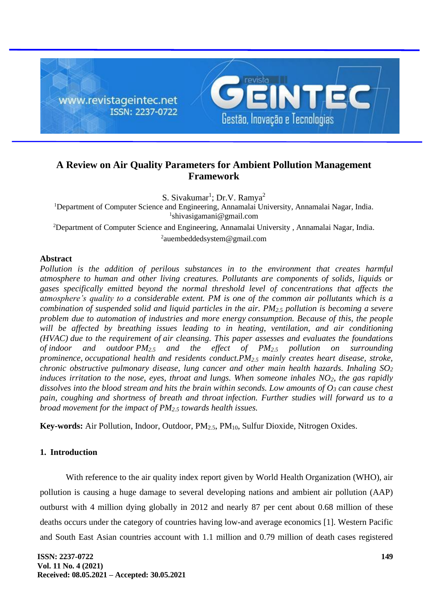

# **A Review on Air Quality Parameters for Ambient Pollution Management Framework**

S. Sivakumar<sup>1</sup>; Dr.V. Ramya<sup>2</sup>

<sup>1</sup>Department of Computer Science and Engineering, Annamalai University, Annamalai Nagar, India. 1 shivasigamani@gmail.com

<sup>2</sup>Department of Computer Science and Engineering, Annamalai University, Annamalai Nagar, India. 2 auembeddedsystem@gmail.com

### **Abstract**

*Pollution is the addition of perilous substances in to the environment that creates harmful atmosphere to human and other living creatures. Pollutants are components of solids, liquids or gases specifically emitted beyond the normal threshold level of concentrations that affects the atmosphere's quality to a considerable extent. PM is one of the common air pollutants which is a combination of suspended solid and liquid particles in the air. PM2.5 pollution is becoming a severe problem due to automation of industries and more energy consumption. Because of this, the people will be affected by breathing issues leading to in heating, ventilation, and air conditioning (HVAC) due to the requirement of air cleansing. This paper assesses and evaluates the foundations of indoor and outdoor PM2.5 and the effect of PM2.5 pollution on surrounding prominence, occupational health and residents conduct.PM2.5 mainly creates heart disease, stroke, chronic obstructive pulmonary disease, lung cancer and other main health hazards. Inhaling SO<sup>2</sup> induces irritation to the nose, eyes, throat and lungs. When someone inhales NO2, the gas rapidly dissolves into the blood stream and hits the brain within seconds. Low amounts of O<sup>3</sup> can cause chest pain, coughing and shortness of breath and throat infection. Further studies will forward us to a broad movement for the impact of PM2.5 towards health issues.*

**Key-words:** Air Pollution, Indoor, Outdoor, PM<sub>2.5</sub>, PM<sub>10</sub>, Sulfur Dioxide, Nitrogen Oxides.

# **1. Introduction**

With reference to the air quality index report given by World Health Organization (WHO), air pollution is causing a huge damage to several developing nations and ambient air pollution (AAP) outburst with 4 million dying globally in 2012 and nearly 87 per cent about 0.68 million of these deaths occurs under the category of countries having low-and average economics [1]. Western Pacific and South East Asian countries account with 1.1 million and 0.79 million of death cases registered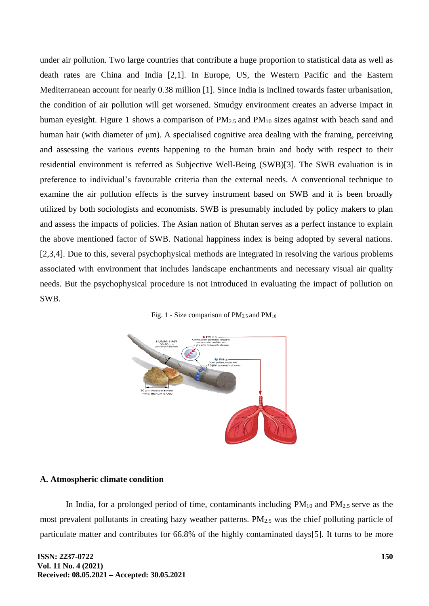under air pollution. Two large countries that contribute a huge proportion to statistical data as well as death rates are China and India [2,1]. In Europe, US, the Western Pacific and the Eastern Mediterranean account for nearly 0.38 million [1]. Since India is inclined towards faster urbanisation, the condition of air pollution will get worsened. Smudgy environment creates an adverse impact in human eyesight. Figure 1 shows a comparison of  $PM_{2.5}$  and  $PM_{10}$  sizes against with beach sand and human hair (with diameter of μm). A specialised cognitive area dealing with the framing, perceiving and assessing the various events happening to the human brain and body with respect to their residential environment is referred as Subjective Well-Being (SWB)[3]. The SWB evaluation is in preference to individual's favourable criteria than the external needs. A conventional technique to examine the air pollution effects is the survey instrument based on SWB and it is been broadly utilized by both sociologists and economists. SWB is presumably included by policy makers to plan and assess the impacts of policies. The Asian nation of Bhutan serves as a perfect instance to explain the above mentioned factor of SWB. National happiness index is being adopted by several nations. [2,3,4]. Due to this, several psychophysical methods are integrated in resolving the various problems associated with environment that includes landscape enchantments and necessary visual air quality needs. But the psychophysical procedure is not introduced in evaluating the impact of pollution on SWB.





### **A. Atmospheric climate condition**

In India, for a prolonged period of time, contaminants including  $PM_{10}$  and  $PM_{2.5}$  serve as the most prevalent pollutants in creating hazy weather patterns. PM2.5 was the chief polluting particle of particulate matter and contributes for 66.8% of the highly contaminated days[5]. It turns to be more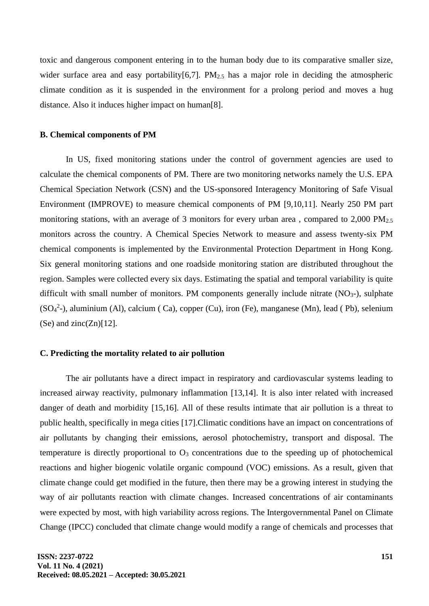toxic and dangerous component entering in to the human body due to its comparative smaller size, wider surface area and easy portability[6,7].  $PM_{2.5}$  has a major role in deciding the atmospheric climate condition as it is suspended in the environment for a prolong period and moves a hug distance. Also it induces higher impact on human[8].

#### **B. Chemical components of PM**

In US, fixed monitoring stations under the control of government agencies are used to calculate the chemical components of PM. There are two monitoring networks namely the U.S. EPA Chemical Speciation Network (CSN) and the US-sponsored Interagency Monitoring of Safe Visual Environment (IMPROVE) to measure chemical components of PM [9,10,11]. Nearly 250 PM part monitoring stations, with an average of 3 monitors for every urban area, compared to  $2,000 \text{ PM}_{2.5}$ monitors across the country. A Chemical Species Network to measure and assess twenty-six PM chemical components is implemented by the Environmental Protection Department in Hong Kong. Six general monitoring stations and one roadside monitoring station are distributed throughout the region. Samples were collected every six days. Estimating the spatial and temporal variability is quite difficult with small number of monitors. PM components generally include nitrate  $(NO<sub>3</sub>-)$ , sulphate  $(SO<sub>4</sub><sup>2</sup>-)$ , aluminium (Al), calcium (Ca), copper (Cu), iron (Fe), manganese (Mn), lead (Pb), selenium  $(Se)$  and zinc $(Zn)[12]$ .

### **C. Predicting the mortality related to air pollution**

The air pollutants have a direct impact in respiratory and cardiovascular systems leading to increased airway reactivity, pulmonary inflammation [13,14]. It is also inter related with increased danger of death and morbidity [15,16]. All of these results intimate that air pollution is a threat to public health, specifically in mega cities [17].Climatic conditions have an impact on concentrations of air pollutants by changing their emissions, aerosol photochemistry, transport and disposal. The temperature is directly proportional to  $O_3$  concentrations due to the speeding up of photochemical reactions and higher biogenic volatile organic compound (VOC) emissions. As a result, given that climate change could get modified in the future, then there may be a growing interest in studying the way of air pollutants reaction with climate changes. Increased concentrations of air contaminants were expected by most, with high variability across regions. The Intergovernmental Panel on Climate Change (IPCC) concluded that climate change would modify a range of chemicals and processes that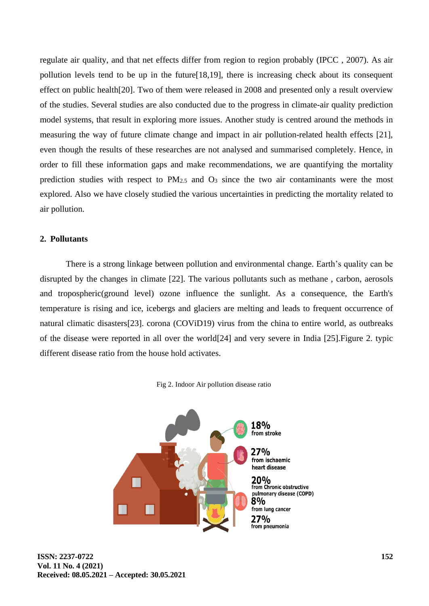regulate air quality, and that net effects differ from region to region probably (IPCC , 2007). As air pollution levels tend to be up in the future[18,19], there is increasing check about its consequent effect on public health[20]. Two of them were released in 2008 and presented only a result overview of the studies. Several studies are also conducted due to the progress in climate-air quality prediction model systems, that result in exploring more issues. Another study is centred around the methods in measuring the way of future climate change and impact in air pollution-related health effects [21], even though the results of these researches are not analysed and summarised completely. Hence, in order to fill these information gaps and make recommendations, we are quantifying the mortality prediction studies with respect to  $PM_{2.5}$  and  $O_3$  since the two air contaminants were the most explored. Also we have closely studied the various uncertainties in predicting the mortality related to air pollution.

### **2. Pollutants**

There is a strong linkage between pollution and environmental change. Earth's quality can be disrupted by the changes in climate [22]. The various pollutants such as methane , carbon, aerosols and tropospheric(ground level) ozone influence the sunlight. As a consequence, the Earth's temperature is rising and ice, icebergs and glaciers are melting and leads to frequent occurrence of natural climatic disasters[23]. corona (COViD19) virus from the china to entire world, as outbreaks of the disease were reported in all over the world[24] and very severe in India [25].Figure 2. typic different disease ratio from the house hold activates.



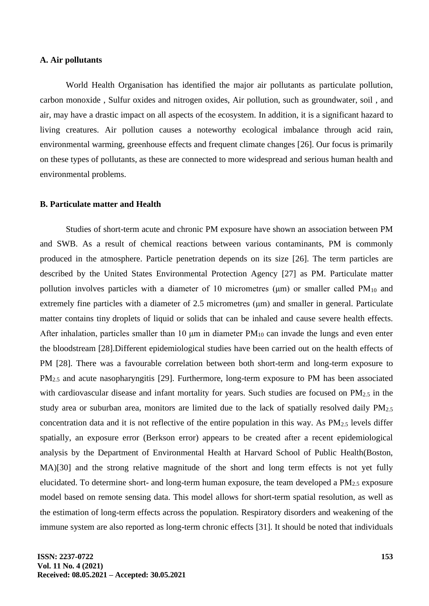#### **A. Air pollutants**

World Health Organisation has identified the major air pollutants as particulate pollution, carbon monoxide , Sulfur oxides and nitrogen oxides, Air pollution, such as groundwater, soil , and air, may have a drastic impact on all aspects of the ecosystem. In addition, it is a significant hazard to living creatures. Air pollution causes a noteworthy ecological imbalance through acid rain, environmental warming, greenhouse effects and frequent climate changes [26]. Our focus is primarily on these types of pollutants, as these are connected to more widespread and serious human health and environmental problems.

#### **B. Particulate matter and Health**

Studies of short-term acute and chronic PM exposure have shown an association between PM and SWB. As a result of chemical reactions between various contaminants, PM is commonly produced in the atmosphere. Particle penetration depends on its size [26]. The term particles are described by the United States Environmental Protection Agency [27] as PM. Particulate matter pollution involves particles with a diameter of 10 micrometres ( $\mu$ m) or smaller called PM<sub>10</sub> and extremely fine particles with a diameter of 2.5 micrometres (μm) and smaller in general. Particulate matter contains tiny droplets of liquid or solids that can be inhaled and cause severe health effects. After inhalation, particles smaller than 10  $\mu$ m in diameter PM<sub>10</sub> can invade the lungs and even enter the bloodstream [28].Different epidemiological studies have been carried out on the health effects of PM [28]. There was a favourable correlation between both short-term and long-term exposure to PM<sub>2.5</sub> and acute nasopharyngitis [29]. Furthermore, long-term exposure to PM has been associated with cardiovascular disease and infant mortality for years. Such studies are focused on  $PM_{2.5}$  in the study area or suburban area, monitors are limited due to the lack of spatially resolved daily PM2.5 concentration data and it is not reflective of the entire population in this way. As  $PM_{2.5}$  levels differ spatially, an exposure error (Berkson error) appears to be created after a recent epidemiological analysis by the Department of Environmental Health at Harvard School of Public Health(Boston, MA)[30] and the strong relative magnitude of the short and long term effects is not yet fully elucidated. To determine short- and long-term human exposure, the team developed a PM2.5 exposure model based on remote sensing data. This model allows for short-term spatial resolution, as well as the estimation of long-term effects across the population. Respiratory disorders and weakening of the immune system are also reported as long-term chronic effects [31]. It should be noted that individuals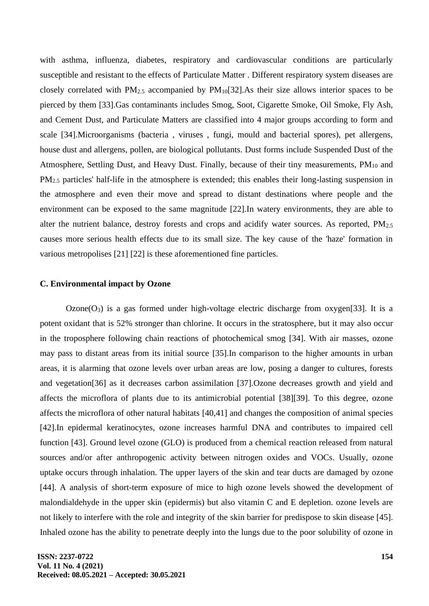with asthma, influenza, diabetes, respiratory and cardiovascular conditions are particularly susceptible and resistant to the effects of Particulate Matter . Different respiratory system diseases are closely correlated with PM2.5 accompanied by PM10[32].As their size allows interior spaces to be pierced by them [33].Gas contaminants includes Smog, Soot, Cigarette Smoke, Oil Smoke, Fly Ash, and Cement Dust, and Particulate Matters are classified into 4 major groups according to form and scale [34].Microorganisms (bacteria , viruses , fungi, mould and bacterial spores), pet allergens, house dust and allergens, pollen, are biological pollutants. Dust forms include Suspended Dust of the Atmosphere, Settling Dust, and Heavy Dust. Finally, because of their tiny measurements, PM<sub>10</sub> and PM2.5 particles' half-life in the atmosphere is extended; this enables their long-lasting suspension in the atmosphere and even their move and spread to distant destinations where people and the environment can be exposed to the same magnitude [22].In watery environments, they are able to alter the nutrient balance, destroy forests and crops and acidify water sources. As reported, PM<sub>2.5</sub> causes more serious health effects due to its small size. The key cause of the 'haze' formation in various metropolises [21] [22] is these aforementioned fine particles.

#### **C. Environmental impact by Ozone**

 $Ozone(O_3)$  is a gas formed under high-voltage electric discharge from  $oxygen[33]$ . It is a potent oxidant that is 52% stronger than chlorine. It occurs in the stratosphere, but it may also occur in the troposphere following chain reactions of photochemical smog [34]. With air masses, ozone may pass to distant areas from its initial source [35].In comparison to the higher amounts in urban areas, it is alarming that ozone levels over urban areas are low, posing a danger to cultures, forests and vegetation[36] as it decreases carbon assimilation [37].Ozone decreases growth and yield and affects the microflora of plants due to its antimicrobial potential [38][39]. To this degree, ozone affects the microflora of other natural habitats [40,41] and changes the composition of animal species [42].In epidermal keratinocytes, ozone increases harmful DNA and contributes to impaired cell function [43]. Ground level ozone (GLO) is produced from a chemical reaction released from natural sources and/or after anthropogenic activity between nitrogen oxides and VOCs. Usually, ozone uptake occurs through inhalation. The upper layers of the skin and tear ducts are damaged by ozone [44]. A analysis of short-term exposure of mice to high ozone levels showed the development of malondialdehyde in the upper skin (epidermis) but also vitamin C and E depletion. ozone levels are not likely to interfere with the role and integrity of the skin barrier for predispose to skin disease [45]. Inhaled ozone has the ability to penetrate deeply into the lungs due to the poor solubility of ozone in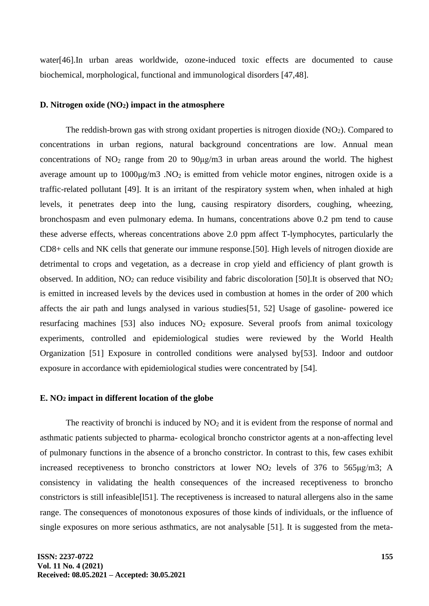water[46].In urban areas worldwide, ozone-induced toxic effects are documented to cause biochemical, morphological, functional and immunological disorders [47,48].

#### **D. Nitrogen oxide (NO2) impact in the atmosphere**

The reddish-brown gas with strong oxidant properties is nitrogen dioxide  $(NO<sub>2</sub>)$ . Compared to concentrations in urban regions, natural background concentrations are low. Annual mean concentrations of  $NO<sub>2</sub>$  range from 20 to  $90\mu g/m3$  in urban areas around the world. The highest average amount up to  $1000\mu\text{g/m}3$ . NO<sub>2</sub> is emitted from vehicle motor engines, nitrogen oxide is a traffic-related pollutant [49]. It is an irritant of the respiratory system when, when inhaled at high levels, it penetrates deep into the lung, causing respiratory disorders, coughing, wheezing, bronchospasm and even pulmonary edema. In humans, concentrations above 0.2 pm tend to cause these adverse effects, whereas concentrations above 2.0 ppm affect T-lymphocytes, particularly the CD8+ cells and NK cells that generate our immune response.[50]. High levels of nitrogen dioxide are detrimental to crops and vegetation, as a decrease in crop yield and efficiency of plant growth is observed. In addition,  $NO<sub>2</sub>$  can reduce visibility and fabric discoloration [50]. It is observed that  $NO<sub>2</sub>$ is emitted in increased levels by the devices used in combustion at homes in the order of 200 which affects the air path and lungs analysed in various studies[51, 52] Usage of gasoline- powered ice resurfacing machines  $[53]$  also induces  $NO<sub>2</sub>$  exposure. Several proofs from animal toxicology experiments, controlled and epidemiological studies were reviewed by the World Health Organization [51] Exposure in controlled conditions were analysed by[53]. Indoor and outdoor exposure in accordance with epidemiological studies were concentrated by [54].

#### **E. NO<sup>2</sup> impact in different location of the globe**

The reactivity of bronchi is induced by  $NO<sub>2</sub>$  and it is evident from the response of normal and asthmatic patients subjected to pharma- ecological broncho constrictor agents at a non-affecting level of pulmonary functions in the absence of a broncho constrictor. In contrast to this, few cases exhibit increased receptiveness to broncho constrictors at lower  $NO<sub>2</sub>$  levels of 376 to 565 $\mu$ g/m3; A consistency in validating the health consequences of the increased receptiveness to broncho constrictors is still infeasible[l51]. The receptiveness is increased to natural allergens also in the same range. The consequences of monotonous exposures of those kinds of individuals, or the influence of single exposures on more serious asthmatics, are not analysable [51]. It is suggested from the meta-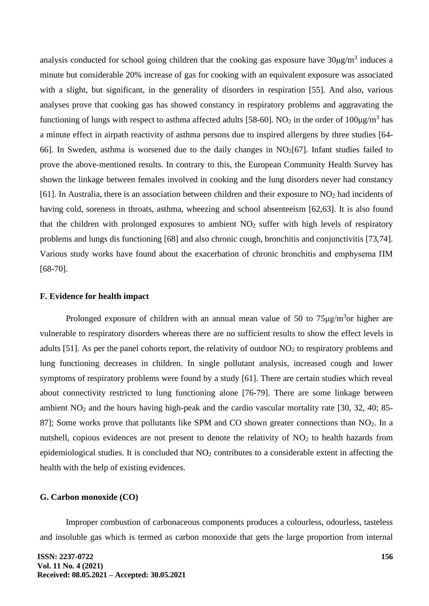analysis conducted for school going children that the cooking gas exposure have  $30\mu g/m^3$  induces a minute but considerable 20% increase of gas for cooking with an equivalent exposure was associated with a slight, but significant, in the generality of disorders in respiration [55]. And also, various analyses prove that cooking gas has showed constancy in respiratory problems and aggravating the functioning of lungs with respect to asthma affected adults [58-60]. NO<sub>2</sub> in the order of  $100 \mu\text{g/m}^3$  has a minute effect in airpath reactivity of asthma persons due to inspired allergens by three studies [64- 66]. In Sweden, asthma is worsened due to the daily changes in  $NO<sub>2</sub>[67]$ . Infant studies failed to prove the above-mentioned results. In contrary to this, the European Community Health Survey has shown the linkage between females involved in cooking and the lung disorders never had constancy [61]. In Australia, there is an association between children and their exposure to  $NO<sub>2</sub>$  had incidents of having cold, soreness in throats, asthma, wheezing and school absenteeism [62,63]. It is also found that the children with prolonged exposures to ambient  $NO<sub>2</sub>$  suffer with high levels of respiratory problems and lungs dis functioning [68] and also chronic cough, bronchitis and conjunctivitis [73,74]. Various study works have found about the exacerbation of chronic bronchitis and emphysema ΠΜ [68-70].

### **F. Evidence for health impact**

Prolonged exposure of children with an annual mean value of 50 to  $75\mu g/m<sup>3</sup>$ or higher are vulnerable to respiratory disorders whereas there are no sufficient results to show the effect levels in adults [51]. As per the panel cohorts report, the relativity of outdoor  $NO<sub>2</sub>$  to respiratory problems and lung functioning decreases in children. In single pollutant analysis, increased cough and lower symptoms of respiratory problems were found by a study [61]. There are certain studies which reveal about connectivity restricted to lung functioning alone [76-79]. There are some linkage between ambient NO<sup>2</sup> and the hours having high-peak and the cardio vascular mortality rate [30, 32, 40; 85- 87]; Some works prove that pollutants like SPM and CO shown greater connections than NO<sub>2</sub>. In a nutshell, copious evidences are not present to denote the relativity of  $NO<sub>2</sub>$  to health hazards from epidemiological studies. It is concluded that  $NO<sub>2</sub>$  contributes to a considerable extent in affecting the health with the help of existing evidences.

### **G. Carbon monoxide (CO)**

Improper combustion of carbonaceous components produces a colourless, odourless, tasteless and insoluble gas which is termed as carbon monoxide that gets the large proportion from internal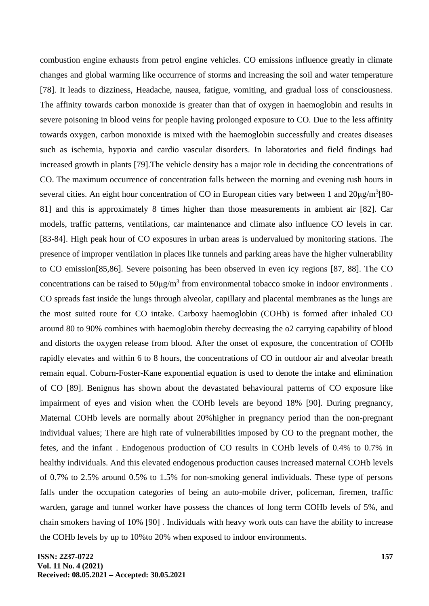combustion engine exhausts from petrol engine vehicles. CO emissions influence greatly in climate changes and global warming like occurrence of storms and increasing the soil and water temperature [78]. It leads to dizziness, Headache, nausea, fatigue, vomiting, and gradual loss of consciousness. The affinity towards carbon monoxide is greater than that of oxygen in haemoglobin and results in severe poisoning in blood veins for people having prolonged exposure to CO. Due to the less affinity towards oxygen, carbon monoxide is mixed with the haemoglobin successfully and creates diseases such as ischemia, hypoxia and cardio vascular disorders. In laboratories and field findings had increased growth in plants [79].The vehicle density has a major role in deciding the concentrations of CO. The maximum occurrence of concentration falls between the morning and evening rush hours in several cities. An eight hour concentration of CO in European cities vary between 1 and 20μg/m<sup>3</sup>[80-81] and this is approximately 8 times higher than those measurements in ambient air [82]. Car models, traffic patterns, ventilations, car maintenance and climate also influence CO levels in car. [83-84]. High peak hour of CO exposures in urban areas is undervalued by monitoring stations. The presence of improper ventilation in places like tunnels and parking areas have the higher vulnerability to CO emission[85,86]. Severe poisoning has been observed in even icy regions [87, 88]. The CO concentrations can be raised to  $50\mu\text{g/m}^3$  from environmental tobacco smoke in indoor environments. CO spreads fast inside the lungs through alveolar, capillary and placental membranes as the lungs are the most suited route for CO intake. Carboxy haemoglobin (COHb) is formed after inhaled CO around 80 to 90% combines with haemoglobin thereby decreasing the o2 carrying capability of blood and distorts the oxygen release from blood. After the onset of exposure, the concentration of COHb rapidly elevates and within 6 to 8 hours, the concentrations of CO in outdoor air and alveolar breath remain equal. Coburn-Foster-Kane exponential equation is used to denote the intake and elimination of CO [89]. Benignus has shown about the devastated behavioural patterns of CO exposure like impairment of eyes and vision when the COHb levels are beyond 18% [90]. During pregnancy, Maternal COHb levels are normally about 20%higher in pregnancy period than the non-pregnant individual values; There are high rate of vulnerabilities imposed by CO to the pregnant mother, the fetes, and the infant . Endogenous production of CO results in COHb levels of 0.4% to 0.7% in healthy individuals. And this elevated endogenous production causes increased maternal COHb levels of 0.7% to 2.5% around 0.5% to 1.5% for non-smoking general individuals. These type of persons falls under the occupation categories of being an auto-mobile driver, policeman, firemen, traffic warden, garage and tunnel worker have possess the chances of long term COHb levels of 5%, and chain smokers having of 10% [90] . Individuals with heavy work outs can have the ability to increase the COHb levels by up to 10%to 20% when exposed to indoor environments.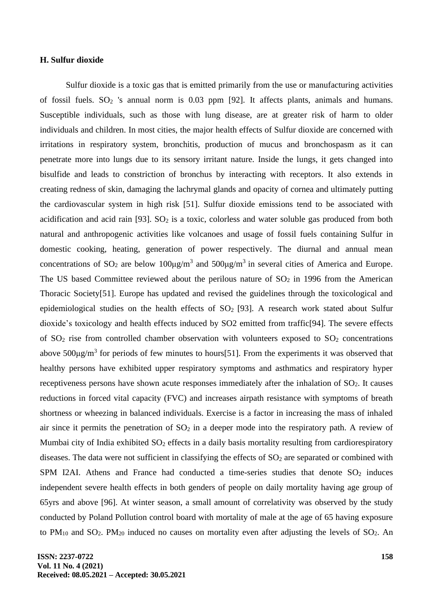#### **H. Sulfur dioxide**

Sulfur dioxide is a toxic gas that is emitted primarily from the use or manufacturing activities of fossil fuels.  $SO_2$  's annual norm is 0.03 ppm [92]. It affects plants, animals and humans. Susceptible individuals, such as those with lung disease, are at greater risk of harm to older individuals and children. In most cities, the major health effects of Sulfur dioxide are concerned with irritations in respiratory system, bronchitis, production of mucus and bronchospasm as it can penetrate more into lungs due to its sensory irritant nature. Inside the lungs, it gets changed into bisulfide and leads to constriction of bronchus by interacting with receptors. It also extends in creating redness of skin, damaging the lachrymal glands and opacity of cornea and ultimately putting the cardiovascular system in high risk [51]. Sulfur dioxide emissions tend to be associated with acidification and acid rain [93].  $SO<sub>2</sub>$  is a toxic, colorless and water soluble gas produced from both natural and anthropogenic activities like volcanoes and usage of fossil fuels containing Sulfur in domestic cooking, heating, generation of power respectively. The diurnal and annual mean concentrations of SO<sub>2</sub> are below 100 $\mu$ g/m<sup>3</sup> and 500 $\mu$ g/m<sup>3</sup> in several cities of America and Europe. The US based Committee reviewed about the perilous nature of  $SO<sub>2</sub>$  in 1996 from the American Thoracic Society[51]. Europe has updated and revised the guidelines through the toxicological and epidemiological studies on the health effects of  $SO<sub>2</sub>$  [93]. A research work stated about Sulfur dioxide's toxicology and health effects induced by SO2 emitted from traffic[94]. The severe effects of  $SO<sub>2</sub>$  rise from controlled chamber observation with volunteers exposed to  $SO<sub>2</sub>$  concentrations above  $500\mu g/m^3$  for periods of few minutes to hours[51]. From the experiments it was observed that healthy persons have exhibited upper respiratory symptoms and asthmatics and respiratory hyper receptiveness persons have shown acute responses immediately after the inhalation of SO<sub>2</sub>. It causes reductions in forced vital capacity (FVC) and increases airpath resistance with symptoms of breath shortness or wheezing in balanced individuals. Exercise is a factor in increasing the mass of inhaled air since it permits the penetration of  $SO<sub>2</sub>$  in a deeper mode into the respiratory path. A review of Mumbai city of India exhibited SO<sub>2</sub> effects in a daily basis mortality resulting from cardiorespiratory diseases. The data were not sufficient in classifying the effects of  $SO<sub>2</sub>$  are separated or combined with SPM I2AI. Athens and France had conducted a time-series studies that denote  $SO_2$  induces independent severe health effects in both genders of people on daily mortality having age group of 65yrs and above [96]. At winter season, a small amount of correlativity was observed by the study conducted by Poland Pollution control board with mortality of male at the age of 65 having exposure to PM<sub>10</sub> and SO<sub>2</sub>. PM<sub>20</sub> induced no causes on mortality even after adjusting the levels of SO<sub>2</sub>. An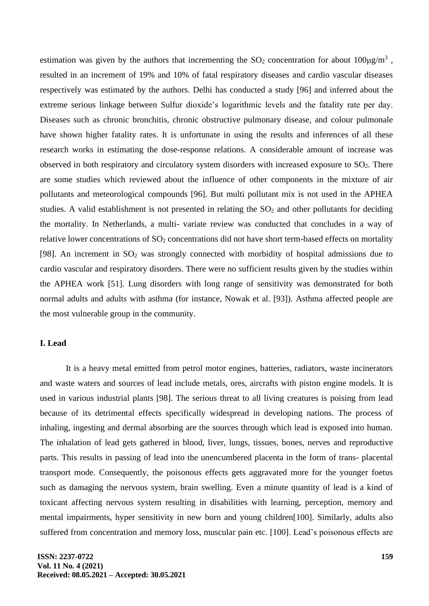estimation was given by the authors that incrementing the  $SO_2$  concentration for about  $100\mu g/m^3$ , resulted in an increment of 19% and 10% of fatal respiratory diseases and cardio vascular diseases respectively was estimated by the authors. Delhi has conducted a study [96] and inferred about the extreme serious linkage between Sulfur dioxide's logarithmic levels and the fatality rate per day. Diseases such as chronic bronchitis, chronic obstructive pulmonary disease, and colour pulmonale have shown higher fatality rates. It is unfortunate in using the results and inferences of all these research works in estimating the dose-response relations. A considerable amount of increase was observed in both respiratory and circulatory system disorders with increased exposure to  $SO<sub>2</sub>$ . There are some studies which reviewed about the influence of other components in the mixture of air pollutants and meteorological compounds [96]. But multi pollutant mix is not used in the APHEA studies. A valid establishment is not presented in relating the  $SO<sub>2</sub>$  and other pollutants for deciding the mortality. In Netherlands, a multi- variate review was conducted that concludes in a way of relative lower concentrations of  $SO<sub>2</sub>$  concentrations did not have short term-based effects on mortality [98]. An increment in  $SO_2$  was strongly connected with morbidity of hospital admissions due to cardio vascular and respiratory disorders. There were no sufficient results given by the studies within the APHEA work [51]. Lung disorders with long range of sensitivity was demonstrated for both normal adults and adults with asthma (for instance, Nowak et al. [93]). Asthma affected people are the most vulnerable group in the community.

# **I. Lead**

It is a heavy metal emitted from petrol motor engines, batteries, radiators, waste incinerators and waste waters and sources of lead include metals, ores, aircrafts with piston engine models. It is used in various industrial plants [98]. The serious threat to all living creatures is poising from lead because of its detrimental effects specifically widespread in developing nations. The process of inhaling, ingesting and dermal absorbing are the sources through which lead is exposed into human. The inhalation of lead gets gathered in blood, liver, lungs, tissues, bones, nerves and reproductive parts. This results in passing of lead into the unencumbered placenta in the form of trans- placental transport mode. Consequently, the poisonous effects gets aggravated more for the younger foetus such as damaging the nervous system, brain swelling. Even a minute quantity of lead is a kind of toxicant affecting nervous system resulting in disabilities with learning, perception, memory and mental impairments, hyper sensitivity in new born and young children[100]. Similarly, adults also suffered from concentration and memory loss, muscular pain etc. [100]. Lead's poisonous effects are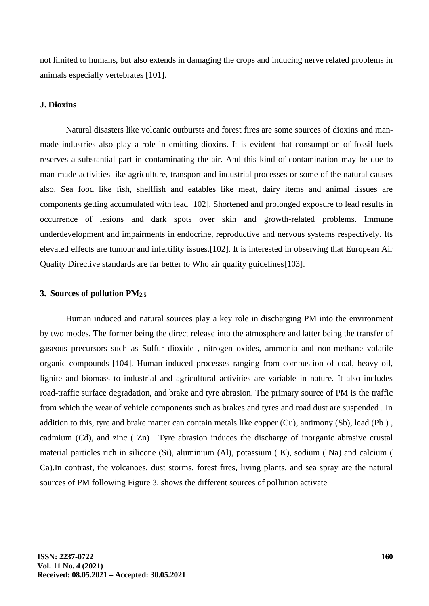not limited to humans, but also extends in damaging the crops and inducing nerve related problems in animals especially vertebrates [101].

### **J. Dioxins**

Natural disasters like volcanic outbursts and forest fires are some sources of dioxins and manmade industries also play a role in emitting dioxins. It is evident that consumption of fossil fuels reserves a substantial part in contaminating the air. And this kind of contamination may be due to man-made activities like agriculture, transport and industrial processes or some of the natural causes also. Sea food like fish, shellfish and eatables like meat, dairy items and animal tissues are components getting accumulated with lead [102]. Shortened and prolonged exposure to lead results in occurrence of lesions and dark spots over skin and growth-related problems. Immune underdevelopment and impairments in endocrine, reproductive and nervous systems respectively. Its elevated effects are tumour and infertility issues.[102]. It is interested in observing that European Air Quality Directive standards are far better to Who air quality guidelines[103].

### **3. Sources of pollution PM2.5**

Human induced and natural sources play a key role in discharging PM into the environment by two modes. The former being the direct release into the atmosphere and latter being the transfer of gaseous precursors such as Sulfur dioxide , nitrogen oxides, ammonia and non-methane volatile organic compounds [104]. Human induced processes ranging from combustion of coal, heavy oil, lignite and biomass to industrial and agricultural activities are variable in nature. It also includes road-traffic surface degradation, and brake and tyre abrasion. The primary source of PM is the traffic from which the wear of vehicle components such as brakes and tyres and road dust are suspended . In addition to this, tyre and brake matter can contain metals like copper (Cu), antimony (Sb), lead (Pb ) , cadmium (Cd), and zinc ( Zn) . Tyre abrasion induces the discharge of inorganic abrasive crustal material particles rich in silicone (Si), aluminium (Al), potassium ( K), sodium ( Na) and calcium ( Ca).In contrast, the volcanoes, dust storms, forest fires, living plants, and sea spray are the natural sources of PM following Figure 3. shows the different sources of pollution activate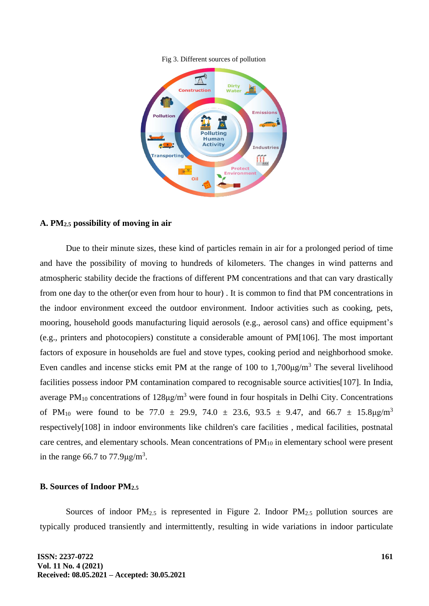#### Fig 3. Different sources of pollution



### **A. PM2.5 possibility of moving in air**

Due to their minute sizes, these kind of particles remain in air for a prolonged period of time and have the possibility of moving to hundreds of kilometers. The changes in wind patterns and atmospheric stability decide the fractions of different PM concentrations and that can vary drastically from one day to the other(or even from hour to hour) . It is common to find that PM concentrations in the indoor environment exceed the outdoor environment. Indoor activities such as cooking, pets, mooring, household goods manufacturing liquid aerosols (e.g., aerosol cans) and office equipment's (e.g., printers and photocopiers) constitute a considerable amount of PM[106]. The most important factors of exposure in households are fuel and stove types, cooking period and neighborhood smoke. Even candles and incense sticks emit PM at the range of 100 to  $1,700\mu g/m<sup>3</sup>$  The several livelihood facilities possess indoor PM contamination compared to recognisable source activities[107]. In India, average PM<sub>10</sub> concentrations of  $128\mu g/m^3$  were found in four hospitals in Delhi City. Concentrations of PM<sub>10</sub> were found to be 77.0  $\pm$  29.9, 74.0  $\pm$  23.6, 93.5  $\pm$  9.47, and 66.7  $\pm$  15.8 $\mu$ g/m<sup>3</sup> respectively[108] in indoor environments like children's care facilities , medical facilities, postnatal care centres, and elementary schools. Mean concentrations of PM<sub>10</sub> in elementary school were present in the range 66.7 to  $77.9 \mu g/m^3$ .

### **B. Sources of Indoor PM2.5**

Sources of indoor PM<sub>2.5</sub> is represented in Figure 2. Indoor PM<sub>2.5</sub> pollution sources are typically produced transiently and intermittently, resulting in wide variations in indoor particulate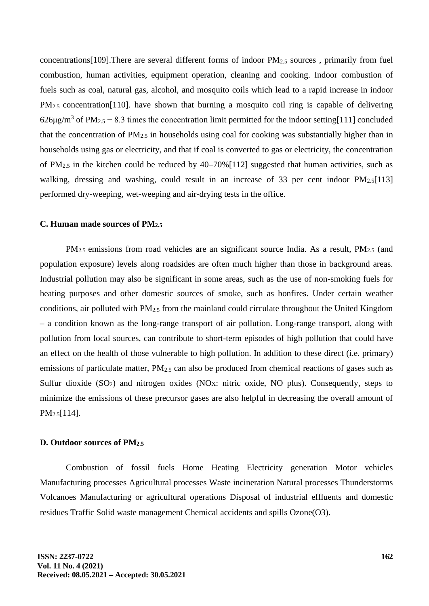concentrations [109]. There are several different forms of indoor  $PM_{2.5}$  sources, primarily from fuel combustion, human activities, equipment operation, cleaning and cooking. Indoor combustion of fuels such as coal, natural gas, alcohol, and mosquito coils which lead to a rapid increase in indoor PM<sub>2.5</sub> concentration<sup>[110]</sup>. have shown that burning a mosquito coil ring is capable of delivering 626 $\mu$ g/m<sup>3</sup> of PM<sub>2.5</sub> – 8.3 times the concentration limit permitted for the indoor setting[111] concluded that the concentration of  $PM_{2.5}$  in households using coal for cooking was substantially higher than in households using gas or electricity, and that if coal is converted to gas or electricity, the concentration of PM2.5 in the kitchen could be reduced by 40–70%[112] suggested that human activities, such as walking, dressing and washing, could result in an increase of 33 per cent indoor  $PM_{2.5}[113]$ performed dry-weeping, wet-weeping and air-drying tests in the office.

#### **C. Human made sources of PM2.5**

PM<sub>2.5</sub> emissions from road vehicles are an significant source India. As a result, PM<sub>2.5</sub> (and population exposure) levels along roadsides are often much higher than those in background areas. Industrial pollution may also be significant in some areas, such as the use of non-smoking fuels for heating purposes and other domestic sources of smoke, such as bonfires. Under certain weather conditions, air polluted with PM2.5 from the mainland could circulate throughout the United Kingdom – a condition known as the long-range transport of air pollution. Long-range transport, along with pollution from local sources, can contribute to short-term episodes of high pollution that could have an effect on the health of those vulnerable to high pollution. In addition to these direct (i.e. primary) emissions of particulate matter,  $PM_{2.5}$  can also be produced from chemical reactions of gases such as Sulfur dioxide (SO<sub>2</sub>) and nitrogen oxides (NO<sub>x</sub>: nitric oxide, NO plus). Consequently, steps to minimize the emissions of these precursor gases are also helpful in decreasing the overall amount of PM2.5[114].

### **D. Outdoor sources of PM2.5**

Combustion of fossil fuels Home Heating Electricity generation Motor vehicles Manufacturing processes Agricultural processes Waste incineration Natural processes Thunderstorms Volcanoes Manufacturing or agricultural operations Disposal of industrial effluents and domestic residues Traffic Solid waste management Chemical accidents and spills Ozone(O3).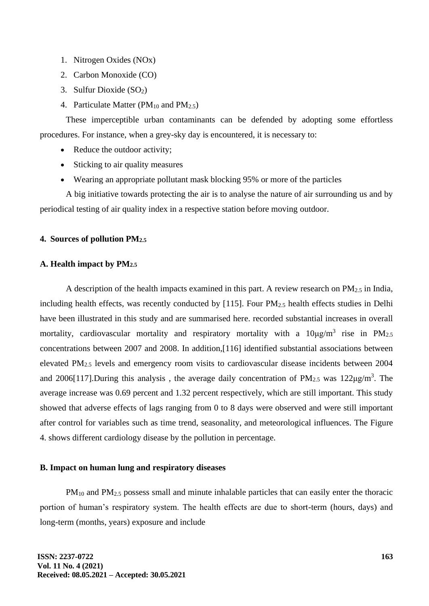- 1. Nitrogen Oxides (NOx)
- 2. Carbon Monoxide (CO)
- 3. Sulfur Dioxide (SO2)
- 4. Particulate Matter ( $PM_{10}$  and  $PM_{2.5}$ )

These imperceptible urban contaminants can be defended by adopting some effortless procedures. For instance, when a grey-sky day is encountered, it is necessary to:

- Reduce the outdoor activity;
- Sticking to air quality measures
- Wearing an appropriate pollutant mask blocking 95% or more of the particles

A big initiative towards protecting the air is to analyse the nature of air surrounding us and by periodical testing of air quality index in a respective station before moving outdoor.

### **4. Sources of pollution PM2.5**

# **A. Health impact by PM2.5**

A description of the health impacts examined in this part. A review research on  $PM<sub>2.5</sub>$  in India, including health effects, was recently conducted by [115]. Four  $PM_{2.5}$  health effects studies in Delhi have been illustrated in this study and are summarised here. recorded substantial increases in overall mortality, cardiovascular mortality and respiratory mortality with a  $10\mu\text{g/m}^3$  rise in PM<sub>2.5</sub> concentrations between 2007 and 2008. In addition,[116] identified substantial associations between elevated PM2.5 levels and emergency room visits to cardiovascular disease incidents between 2004 and 2006[117]. During this analysis, the average daily concentration of  $PM_{2.5}$  was 122 $\mu$ g/m<sup>3</sup>. The average increase was 0.69 percent and 1.32 percent respectively, which are still important. This study showed that adverse effects of lags ranging from 0 to 8 days were observed and were still important after control for variables such as time trend, seasonality, and meteorological influences. The Figure 4. shows different cardiology disease by the pollution in percentage.

#### **B. Impact on human lung and respiratory diseases**

PM<sub>10</sub> and PM<sub>2.5</sub> possess small and minute inhalable particles that can easily enter the thoracic portion of human's respiratory system. The health effects are due to short-term (hours, days) and long-term (months, years) exposure and include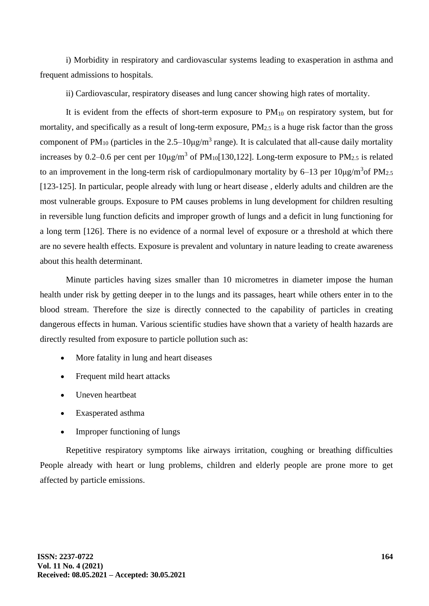i) Morbidity in respiratory and cardiovascular systems leading to exasperation in asthma and frequent admissions to hospitals.

ii) Cardiovascular, respiratory diseases and lung cancer showing high rates of mortality.

It is evident from the effects of short-term exposure to  $PM_{10}$  on respiratory system, but for mortality, and specifically as a result of long-term exposure,  $PM_{2.5}$  is a huge risk factor than the gross component of PM<sub>10</sub> (particles in the  $2.5-10\mu g/m^3$  range). It is calculated that all-cause daily mortality increases by 0.2–0.6 per cent per  $10\mu g/m^3$  of PM<sub>10</sub>[130,122]. Long-term exposure to PM<sub>2.5</sub> is related to an improvement in the long-term risk of cardiopulmonary mortality by  $6-13$  per  $10\mu g/m^3$ of PM<sub>2.5</sub> [123-125]. In particular, people already with lung or heart disease, elderly adults and children are the most vulnerable groups. Exposure to PM causes problems in lung development for children resulting in reversible lung function deficits and improper growth of lungs and a deficit in lung functioning for a long term [126]. There is no evidence of a normal level of exposure or a threshold at which there are no severe health effects. Exposure is prevalent and voluntary in nature leading to create awareness about this health determinant.

Minute particles having sizes smaller than 10 micrometres in diameter impose the human health under risk by getting deeper in to the lungs and its passages, heart while others enter in to the blood stream. Therefore the size is directly connected to the capability of particles in creating dangerous effects in human. Various scientific studies have shown that a variety of health hazards are directly resulted from exposure to particle pollution such as:

- More fatality in lung and heart diseases
- Frequent mild heart attacks
- Uneven heartbeat
- Exasperated asthma
- Improper functioning of lungs

Repetitive respiratory symptoms like airways irritation, coughing or breathing difficulties People already with heart or lung problems, children and elderly people are prone more to get affected by particle emissions.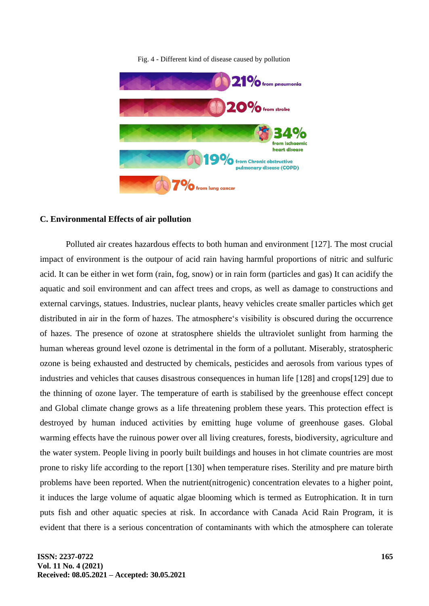

Fig. 4 - Different kind of disease caused by pollution

### **C. Environmental Effects of air pollution**

Polluted air creates hazardous effects to both human and environment [127]. The most crucial impact of environment is the outpour of acid rain having harmful proportions of nitric and sulfuric acid. It can be either in wet form (rain, fog, snow) or in rain form (particles and gas) It can acidify the aquatic and soil environment and can affect trees and crops, as well as damage to constructions and external carvings, statues. Industries, nuclear plants, heavy vehicles create smaller particles which get distributed in air in the form of hazes. The atmosphere's visibility is obscured during the occurrence of hazes. The presence of ozone at stratosphere shields the ultraviolet sunlight from harming the human whereas ground level ozone is detrimental in the form of a pollutant. Miserably, stratospheric ozone is being exhausted and destructed by chemicals, pesticides and aerosols from various types of industries and vehicles that causes disastrous consequences in human life [128] and crops[129] due to the thinning of ozone layer. The temperature of earth is stabilised by the greenhouse effect concept and Global climate change grows as a life threatening problem these years. This protection effect is destroyed by human induced activities by emitting huge volume of greenhouse gases. Global warming effects have the ruinous power over all living creatures, forests, biodiversity, agriculture and the water system. People living in poorly built buildings and houses in hot climate countries are most prone to risky life according to the report [130] when temperature rises. Sterility and pre mature birth problems have been reported. When the nutrient(nitrogenic) concentration elevates to a higher point, it induces the large volume of aquatic algae blooming which is termed as Eutrophication. It in turn puts fish and other aquatic species at risk. In accordance with Canada Acid Rain Program, it is evident that there is a serious concentration of contaminants with which the atmosphere can tolerate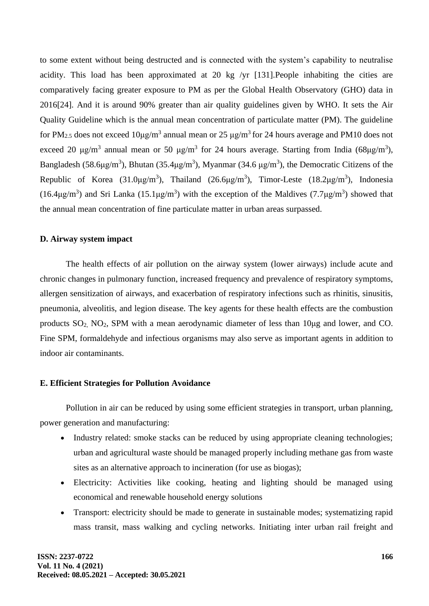to some extent without being destructed and is connected with the system's capability to neutralise acidity. This load has been approximated at 20 kg /yr [131].People inhabiting the cities are comparatively facing greater exposure to PM as per the Global Health Observatory (GHO) data in 2016[24]. And it is around 90% greater than air quality guidelines given by WHO. It sets the Air Quality Guideline which is the annual mean concentration of particulate matter (PM). The guideline for PM<sub>2.5</sub> does not exceed  $10\mu g/m^3$  annual mean or 25  $\mu g/m^3$  for 24 hours average and PM10 does not exceed 20  $\mu$ g/m<sup>3</sup> annual mean or 50  $\mu$ g/m<sup>3</sup> for 24 hours average. Starting from India (68 $\mu$ g/m<sup>3</sup>), Bangladesh (58.6 $\mu$ g/m<sup>3</sup>), Bhutan (35.4 $\mu$ g/m<sup>3</sup>), Myanmar (34.6  $\mu$ g/m<sup>3</sup>), the Democratic Citizens of the Republic of Korea (31.0μg/m<sup>3</sup>), Thailand (26.6μg/m<sup>3</sup>), Timor-Leste (18.2μg/m<sup>3</sup>), Indonesia (16.4 $\mu$ g/m<sup>3</sup>) and Sri Lanka (15.1 $\mu$ g/m<sup>3</sup>) with the exception of the Maldives (7.7 $\mu$ g/m<sup>3</sup>) showed that the annual mean concentration of fine particulate matter in urban areas surpassed.

### **D. Airway system impact**

The health effects of air pollution on the airway system (lower airways) include acute and chronic changes in pulmonary function, increased frequency and prevalence of respiratory symptoms, allergen sensitization of airways, and exacerbation of respiratory infections such as rhinitis, sinusitis, pneumonia, alveolitis, and legion disease. The key agents for these health effects are the combustion products SO2, NO2, SPM with a mean aerodynamic diameter of less than 10μg and lower, and CO. Fine SPM, formaldehyde and infectious organisms may also serve as important agents in addition to indoor air contaminants.

# **E. Efficient Strategies for Pollution Avoidance**

Pollution in air can be reduced by using some efficient strategies in transport, urban planning, power generation and manufacturing:

- Industry related: smoke stacks can be reduced by using appropriate cleaning technologies; urban and agricultural waste should be managed properly including methane gas from waste sites as an alternative approach to incineration (for use as biogas);
- Electricity: Activities like cooking, heating and lighting should be managed using economical and renewable household energy solutions
- Transport: electricity should be made to generate in sustainable modes; systematizing rapid mass transit, mass walking and cycling networks. Initiating inter urban rail freight and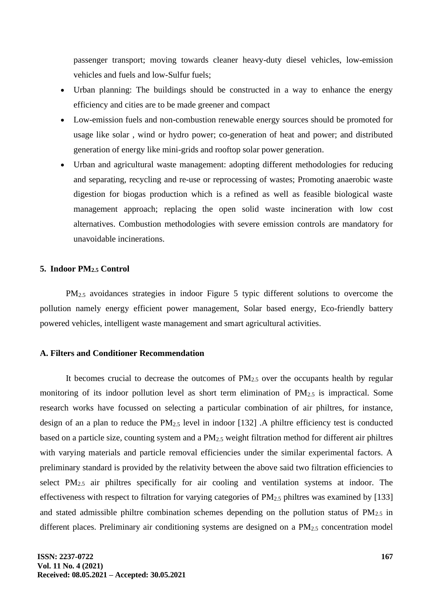passenger transport; moving towards cleaner heavy-duty diesel vehicles, low-emission vehicles and fuels and low-Sulfur fuels;

- Urban planning: The buildings should be constructed in a way to enhance the energy efficiency and cities are to be made greener and compact
- Low-emission fuels and non-combustion renewable energy sources should be promoted for usage like solar , wind or hydro power; co-generation of heat and power; and distributed generation of energy like mini-grids and rooftop solar power generation.
- Urban and agricultural waste management: adopting different methodologies for reducing and separating, recycling and re-use or reprocessing of wastes; Promoting anaerobic waste digestion for biogas production which is a refined as well as feasible biological waste management approach; replacing the open solid waste incineration with low cost alternatives. Combustion methodologies with severe emission controls are mandatory for unavoidable incinerations.

#### **5. Indoor PM2.5 Control**

PM<sub>2.5</sub> avoidances strategies in indoor Figure 5 typic different solutions to overcome the pollution namely energy efficient power management, Solar based energy, Eco-friendly battery powered vehicles, intelligent waste management and smart agricultural activities.

#### **A. Filters and Conditioner Recommendation**

It becomes crucial to decrease the outcomes of  $PM<sub>2.5</sub>$  over the occupants health by regular monitoring of its indoor pollution level as short term elimination of  $PM_{2.5}$  is impractical. Some research works have focussed on selecting a particular combination of air philtres, for instance, design of an a plan to reduce the PM2.5 level in indoor [132] .A philtre efficiency test is conducted based on a particle size, counting system and a  $PM_{2.5}$  weight filtration method for different air philtres with varying materials and particle removal efficiencies under the similar experimental factors. A preliminary standard is provided by the relativity between the above said two filtration efficiencies to select PM2.5 air philtres specifically for air cooling and ventilation systems at indoor. The effectiveness with respect to filtration for varying categories of PM2.5 philtres was examined by [133] and stated admissible philtre combination schemes depending on the pollution status of  $PM_{2.5}$  in different places. Preliminary air conditioning systems are designed on a  $PM<sub>2.5</sub>$  concentration model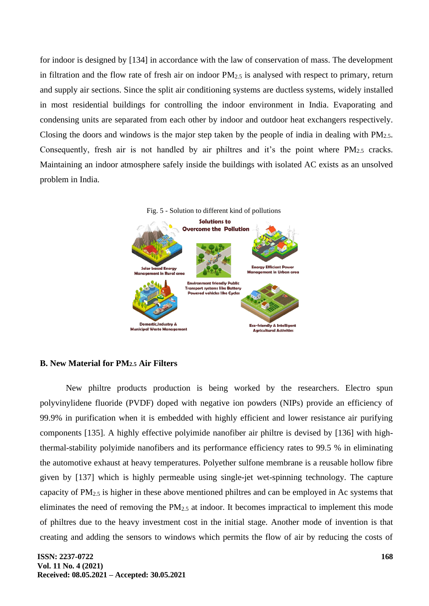for indoor is designed by [134] in accordance with the law of conservation of mass. The development in filtration and the flow rate of fresh air on indoor  $PM_{2.5}$  is analysed with respect to primary, return and supply air sections. Since the split air conditioning systems are ductless systems, widely installed in most residential buildings for controlling the indoor environment in India. Evaporating and condensing units are separated from each other by indoor and outdoor heat exchangers respectively. Closing the doors and windows is the major step taken by the people of india in dealing with  $PM_{2.5}$ . Consequently, fresh air is not handled by air philtres and it's the point where PM<sub>2.5</sub> cracks. Maintaining an indoor atmosphere safely inside the buildings with isolated AC exists as an unsolved problem in India.



# **B. New Material for PM2.5 Air Filters**

New philtre products production is being worked by the researchers. Electro spun polyvinylidene fluoride (PVDF) doped with negative ion powders (NIPs) provide an efficiency of 99.9% in purification when it is embedded with highly efficient and lower resistance air purifying components [135]. A highly effective polyimide nanofiber air philtre is devised by [136] with highthermal-stability polyimide nanofibers and its performance efficiency rates to 99.5 % in eliminating the automotive exhaust at heavy temperatures. Polyether sulfone membrane is a reusable hollow fibre given by [137] which is highly permeable using single-jet wet-spinning technology. The capture capacity of PM2.5 is higher in these above mentioned philtres and can be employed in Ac systems that eliminates the need of removing the PM2.5 at indoor. It becomes impractical to implement this mode of philtres due to the heavy investment cost in the initial stage. Another mode of invention is that creating and adding the sensors to windows which permits the flow of air by reducing the costs of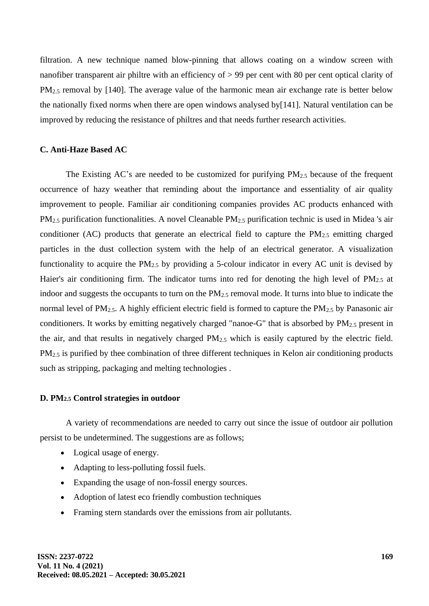filtration. A new technique named blow-pinning that allows coating on a window screen with nanofiber transparent air philtre with an efficiency of > 99 per cent with 80 per cent optical clarity of PM<sub>2.5</sub> removal by [140]. The average value of the harmonic mean air exchange rate is better below the nationally fixed norms when there are open windows analysed by[141]. Natural ventilation can be improved by reducing the resistance of philtres and that needs further research activities.

### **C. Anti-Haze Based AC**

The Existing AC's are needed to be customized for purifying  $PM_{2.5}$  because of the frequent occurrence of hazy weather that reminding about the importance and essentiality of air quality improvement to people. Familiar air conditioning companies provides AC products enhanced with PM2.5 purification functionalities. A novel Cleanable PM2.5 purification technic is used in Midea 's air conditioner (AC) products that generate an electrical field to capture the  $PM_{2.5}$  emitting charged particles in the dust collection system with the help of an electrical generator. A visualization functionality to acquire the  $PM_{2.5}$  by providing a 5-colour indicator in every AC unit is devised by Haier's air conditioning firm. The indicator turns into red for denoting the high level of  $PM_{2.5}$  at indoor and suggests the occupants to turn on the PM2.5 removal mode. It turns into blue to indicate the normal level of  $PM_{2.5}$ . A highly efficient electric field is formed to capture the  $PM_{2.5}$  by Panasonic air conditioners. It works by emitting negatively charged "nanoe-G" that is absorbed by PM2.5 present in the air, and that results in negatively charged  $PM_{2.5}$  which is easily captured by the electric field. PM<sub>2.5</sub> is purified by thee combination of three different techniques in Kelon air conditioning products such as stripping, packaging and melting technologies .

#### **D. PM2.5 Control strategies in outdoor**

A variety of recommendations are needed to carry out since the issue of outdoor air pollution persist to be undetermined. The suggestions are as follows;

- Logical usage of energy.
- Adapting to less-polluting fossil fuels.
- Expanding the usage of non-fossil energy sources.
- Adoption of latest eco friendly combustion techniques
- Framing stern standards over the emissions from air pollutants.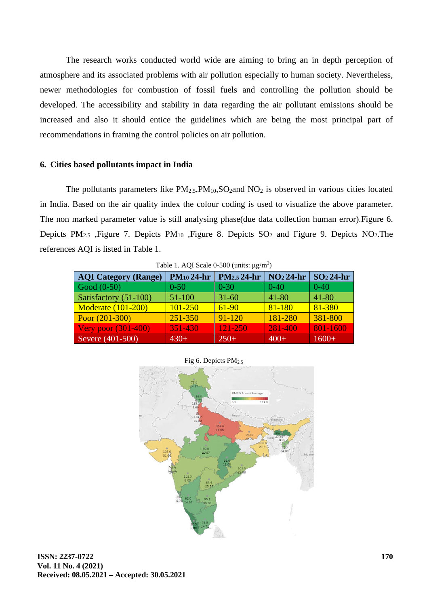The research works conducted world wide are aiming to bring an in depth perception of atmosphere and its associated problems with air pollution especially to human society. Nevertheless, newer methodologies for combustion of fossil fuels and controlling the pollution should be developed. The accessibility and stability in data regarding the air pollutant emissions should be increased and also it should entice the guidelines which are being the most principal part of recommendations in framing the control policies on air pollution.

### **6. Cities based pollutants impact in India**

The pollutants parameters like  $PM_{2.5}PM_{10}$ ,  $SO_2$  and  $NO_2$  is observed in various cities located in India. Based on the air quality index the colour coding is used to visualize the above parameter. The non marked parameter value is still analysing phase(due data collection human error).Figure 6. Depicts PM<sub>2.5</sub> ,Figure 7. Depicts PM<sub>10</sub> ,Figure 8. Depicts  $SO_2$  and Figure 9. Depicts NO<sub>2</sub>. The references AQI is listed in Table 1.

| <b>AQI Category (Range)</b> | $PM_{10}$ 24-hr | PM <sub>2.5</sub> 24-hr | $NO224-hr$ | $SO224-hr$ |
|-----------------------------|-----------------|-------------------------|------------|------------|
| Good $(0-50)$               | $0 - 50$        | $0 - 30$                | $0 - 40$   | $0 - 40$   |
| Satisfactory (51-100)       | 51-100          | $31 - 60$               | 41-80      | 41-80      |
| <b>Moderate (101-200)</b>   | 101-250         | $61 - 90$               | 81-180     | 81-380     |
| Poor $(201-300)$            | 251-350         | $91 - 120$              | 181-280    | 381-800    |
| <b>Very poor (301-400)</b>  | 351-430         | 121-250                 | 281-400    | 801-1600   |
| Severe $(401-500)$          | $430+$          | $250+$                  | $400+$     | $1600+$    |

Table 1. AQI Scale  $0-500$  (units:  $\mu$ g/m<sup>3</sup>)

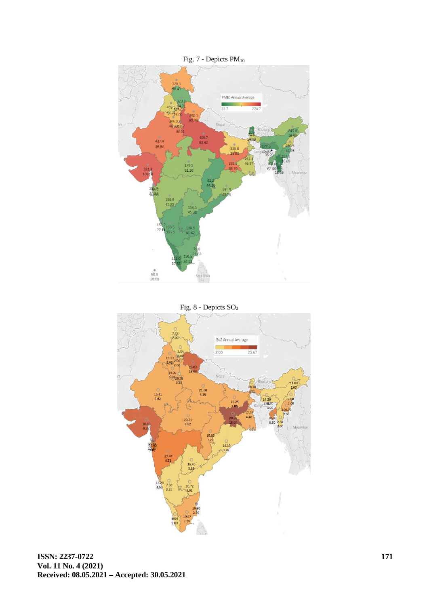



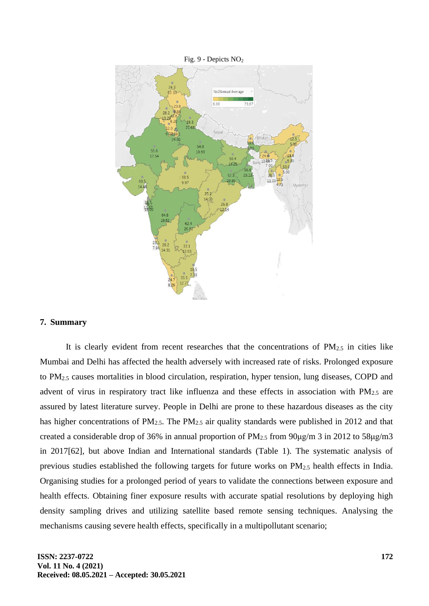

#### Fig. 9 - Depicts NO<sup>2</sup>

# **7. Summary**

It is clearly evident from recent researches that the concentrations of  $PM_{2.5}$  in cities like Mumbai and Delhi has affected the health adversely with increased rate of risks. Prolonged exposure to PM2.5 causes mortalities in blood circulation, respiration, hyper tension, lung diseases, COPD and advent of virus in respiratory tract like influenza and these effects in association with  $PM_{2.5}$  are assured by latest literature survey. People in Delhi are prone to these hazardous diseases as the city has higher concentrations of PM<sub>2.5</sub>. The PM<sub>2.5</sub> air quality standards were published in 2012 and that created a considerable drop of 36% in annual proportion of PM2.5 from 90μg/m 3 in 2012 to 58μg/m3 in 2017[62], but above Indian and International standards (Table 1). The systematic analysis of previous studies established the following targets for future works on PM2.5 health effects in India. Organising studies for a prolonged period of years to validate the connections between exposure and health effects. Obtaining finer exposure results with accurate spatial resolutions by deploying high density sampling drives and utilizing satellite based remote sensing techniques. Analysing the mechanisms causing severe health effects, specifically in a multipollutant scenario;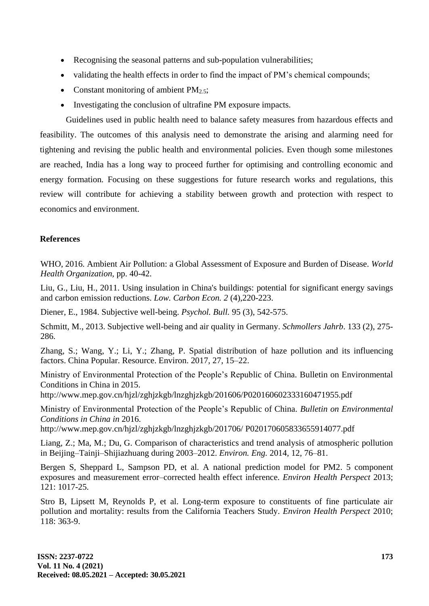- Recognising the seasonal patterns and sub-population vulnerabilities;
- validating the health effects in order to find the impact of PM's chemical compounds;
- Constant monitoring of ambient  $PM_{2.5}$ ;
- Investigating the conclusion of ultrafine PM exposure impacts.

Guidelines used in public health need to balance safety measures from hazardous effects and feasibility. The outcomes of this analysis need to demonstrate the arising and alarming need for tightening and revising the public health and environmental policies. Even though some milestones are reached, India has a long way to proceed further for optimising and controlling economic and energy formation. Focusing on these suggestions for future research works and regulations, this review will contribute for achieving a stability between growth and protection with respect to economics and environment.

# **References**

WHO, 2016. Ambient Air Pollution: a Global Assessment of Exposure and Burden of Disease. *World Health Organization,* pp. 40-42.

Liu, G., Liu, H., 2011. Using insulation in China's buildings: potential for significant energy savings and carbon emission reductions. *Low. Carbon Econ. 2* (4),220-223.

Diener, E., 1984. Subjective well-being. *Psychol. Bull.* 95 (3), 542-575.

Schmitt, M., 2013. Subjective well-being and air quality in Germany. *Schmollers Jahrb*. 133 (2), 275- 286.

Zhang, S.; Wang, Y.; Li, Y.; Zhang, P. Spatial distribution of haze pollution and its influencing factors. China Popular. Resource. Environ. 2017, 27, 15–22.

Ministry of Environmental Protection of the People's Republic of China. Bulletin on Environmental Conditions in China in 2015.

http://www.mep.gov.cn/hjzl/zghjzkgb/lnzghjzkgb/201606/P020160602333160471955.pdf

Ministry of Environmental Protection of the People's Republic of China. *Bulletin on Environmental Conditions in China in* 2016.

http://www.mep.gov.cn/hjzl/zghjzkgb/lnzghjzkgb/201706/ P020170605833655914077.pdf

Liang, Z.; Ma, M.; Du, G. Comparison of characteristics and trend analysis of atmospheric pollution in Beijing–Tainji–Shijiazhuang during 2003–2012. *Environ. Eng.* 2014, 12, 76–81.

Bergen S, Sheppard L, Sampson PD, et al. A national prediction model for PM2. 5 component exposures and measurement error–corrected health effect inference. *Environ Health Perspect* 2013; 121: 1017-25.

Stro B, Lipsett M, Reynolds P, et al. Long-term exposure to constituents of fine particulate air pollution and mortality: results from the California Teachers Study. *Environ Health Perspect* 2010; 118: 363-9.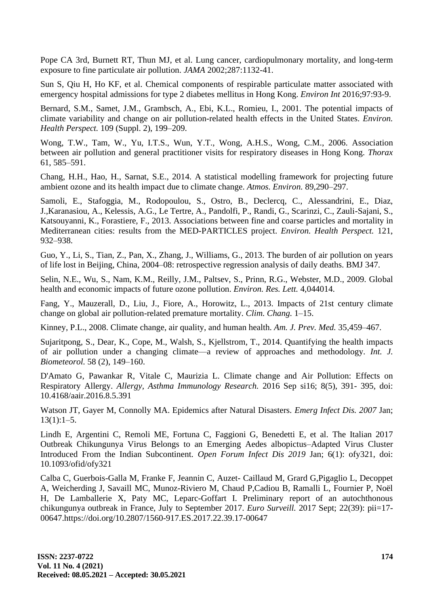Pope CA 3rd, Burnett RT, Thun MJ, et al. Lung cancer, cardiopulmonary mortality, and long-term exposure to fine particulate air pollution. *JAMA* 2002;287:1132-41.

Sun S, Qiu H, Ho KF, et al. Chemical components of respirable particulate matter associated with emergency hospital admissions for type 2 diabetes mellitus in Hong Kong. *Environ Int* 2016;97:93-9.

Bernard, S.M., Samet, J.M., Grambsch, A., Ebi, K.L., Romieu, I., 2001. The potential impacts of climate variability and change on air pollution-related health effects in the United States. *Environ. Health Perspect.* 109 (Suppl. 2), 199–209.

Wong, T.W., Tam, W., Yu, I.T.S., Wun, Y.T., Wong, A.H.S., Wong, C.M., 2006. Association between air pollution and general practitioner visits for respiratory diseases in Hong Kong. *Thorax* 61, 585–591.

Chang, H.H., Hao, H., Sarnat, S.E., 2014. A statistical modelling framework for projecting future ambient ozone and its health impact due to climate change. *Atmos. Environ.* 89,290–297.

Samoli, E., Stafoggia, M., Rodopoulou, S., Ostro, B., Declercq, C., Alessandrini, E., Diaz, J.,Karanasiou, A., Kelessis, A.G., Le Tertre, A., Pandolfi, P., Randi, G., Scarinzi, C., Zauli-Sajani, S., Katsouyanni, K., Forastiere, F., 2013. Associations between fine and coarse particles and mortality in Mediterranean cities: results from the MED-PARTICLES project. *Environ. Health Perspect.* 121, 932–938.

Guo, Y., Li, S., Tian, Z., Pan, X., Zhang, J., Williams, G., 2013. The burden of air pollution on years of life lost in Beijing, China, 2004–08: retrospective regression analysis of daily deaths. BMJ 347.

Selin, N.E., Wu, S., Nam, K.M., Reilly, J.M., Paltsev, S., Prinn, R.G., Webster, M.D., 2009. Global health and economic impacts of future ozone pollution. *Environ. Res. Lett.* 4,044014.

Fang, Y., Mauzerall, D., Liu, J., Fiore, A., Horowitz, L., 2013. Impacts of 21st century climate change on global air pollution-related premature mortality. *Clim. Chang.* 1–15.

Kinney, P.L., 2008. Climate change, air quality, and human health. *Am. J. Prev. Med.* 35,459–467.

Sujaritpong, S., Dear, K., Cope, M., Walsh, S., Kjellstrom, T., 2014. Quantifying the health impacts of air pollution under a changing climate—a review of approaches and methodology. *Int. J. Biometeorol.* 58 (2), 149–160.

D'Amato G, Pawankar R, Vitale C, Maurizia L. Climate change and Air Pollution: Effects on Respiratory Allergy. *Allergy, Asthma Immunology Research.* 2016 Sep si16; 8(5), 391- 395, doi: 10.4168/aair.2016.8.5.391

Watson JT, Gayer M, Connolly MA. Epidemics after Natural Disasters. *Emerg Infect Dis. 2007* Jan;  $13(1):1-5.$ 

Lindh E, Argentini C, Remoli ME, Fortuna C, Faggioni G, Benedetti E, et al. The Italian 2017 Outbreak Chikungunya Virus Belongs to an Emerging Aedes albopictus–Adapted Virus Cluster Introduced From the Indian Subcontinent. *Open Forum Infect Dis 2019* Jan; 6(1): ofy321, doi: 10.1093/ofid/ofy321

Calba C, Guerbois-Galla M, Franke F, Jeannin C, Auzet- Caillaud M, Grard G,Pigaglio L, Decoppet A, Weicherding J, Savaill MC, Munoz-Riviero M, Chaud P,Cadiou B, Ramalli L, Fournier P, Noël H, De Lamballerie X, Paty MC, Leparc-Goffart I. Preliminary report of an autochthonous chikungunya outbreak in France, July to September 2017. *Euro Surveill.* 2017 Sept; 22(39): pii=17- 00647.https://doi.org/10.2807/1560-917.ES.2017.22.39.17-00647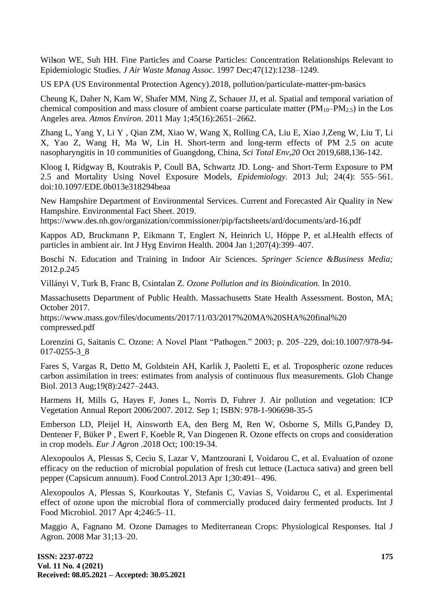Wil**s**on WE, Suh HH. Fine Particles and Coarse Particles: Concentration Relationships Relevant to Epidemiologic Studies. *J Air Waste Manag Assoc*. 1997 Dec;47(12):1238–1249.

US EPA (US Environmental Protection Agency).2018, pollution/particulate-matter-pm-basics

Cheung K, Daher N, Kam W, Shafer MM, Ning Z, Schauer JJ, et al. Spatial and temporal variation of chemical composition and mass closure of ambient coarse particulate matter ( $PM_{10}-PM_{2.5}$ ) in the Los Angeles area. *Atmos Environ.* 2011 May 1;45(16):2651–2662.

Zhang L, Yang Y, Li Y , Qian ZM, Xiao W, Wang X, Rolling CA, Liu E, Xiao J,Zeng W, Liu T, Li X, Yao Z, Wang H, Ma W, Lin H. Short-term and long-term effects of PM 2.5 on acute nasopharyngitis in 10 communities of Guangdong, China, *Sci Total Env,20* Oct 2019,688,136-142.

Kloog I, Ridgway B, Koutrakis P, Coull BA, Schwartz JD. Long- and Short-Term Exposure to PM 2.5 and Mortality Using Novel Exposure Models, *Epidemiology.* 2013 Jul; 24(4): 555–561. doi:10.1097/EDE.0b013e318294beaa

New Hampshire Department of Environmental Services. Current and Forecasted Air Quality in New Hampshire. Environmental Fact Sheet. 2019.

https://www.des.nh.gov/organization/commissioner/pip/factsheets/ard/documents/ard-16.pdf

Kappos AD, Bruckmann P, Eikmann T, Englert N, Heinrich U, Höppe P, et al.Health effects of particles in ambient air. Int J Hyg Environ Health. 2004 Jan 1;207(4):399–407.

Boschi N. Education and Training in Indoor Air Sciences. *Springer Science &Business Media;*  2012.p.245

Villányi V, Turk B, Franc B, Csintalan Z. *Ozone Pollution and its Bioindication.* In 2010.

Massachusetts Department of Public Health. Massachusetts State Health Assessment. Boston, MA; October 2017.

https://www.mass.gov/files/documents/2017/11/03/2017%20MA%20SHA%20final%20 compressed.pdf

Lorenzini G, Saitanis C. Ozone: A Novel Plant "Pathogen." 2003; p. 205–229, doi:10.1007/978-94- 017-0255-3\_8

Fares S, Vargas R, Detto M, Goldstein AH, Karlik J, Paoletti E, et al. Tropospheric ozone reduces carbon assimilation in trees: estimates from analysis of continuous flux measurements. Glob Change Biol. 2013 Aug;19(8):2427–2443.

Harmens H, Mills G, Hayes F, Jones L, Norris D, Fuhrer J. Air pollution and vegetation: ICP Vegetation Annual Report 2006/2007. 2012. Sep 1; ISBN: 978-1-906698-35-5

Emberson LD, Pleijel H, Ainsworth EA, den Berg M, Ren W, Osborne S, Mills G,Pandey D, Dentener F, Büker P , Ewert F, Koeble R, Van Dingenen R. Ozone effects on crops and consideration in crop models. *Eur J Agron .*2018 Oct; 100:19-34.

Alexopoulos A, Plessas S, Ceciu S, Lazar V, Mantzourani I, Voidarou C, et al. Evaluation of ozone efficacy on the reduction of microbial population of fresh cut lettuce (Lactuca sativa) and green bell pepper (Capsicum annuum). Food Control.2013 Apr 1;30:491– 496.

Alexopoulos A, Plessas S, Kourkoutas Y, Stefanis C, Vavias S, Voidarou C, et al. Experimental effect of ozone upon the microbial flora of commercially produced dairy fermented products. Int J Food Microbiol. 2017 Apr 4;246:5–11.

Maggio A, Fagnano M. Ozone Damages to Mediterranean Crops: Physiological Responses. Ital J Agron. 2008 Mar 31;13–20.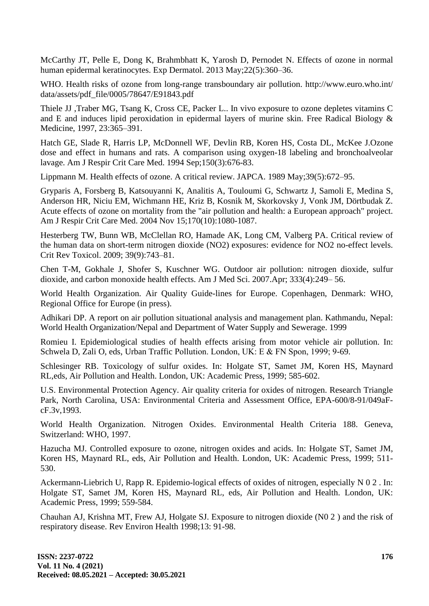McCarthy JT, Pelle E, Dong K, Brahmbhatt K, Yarosh D, Pernodet N. Effects of ozone in normal human epidermal keratinocytes. Exp Dermatol. 2013 May;22(5):360–36.

WHO. Health risks of ozone from long-range transboundary air pollution. http://www.euro.who.int/ data/assets/pdf\_file/0005/78647/E91843.pdf

Thiele JJ ,Traber MG, Tsang K, Cross CE, Packer L.. In vivo exposure to ozone depletes vitamins C and E and induces lipid peroxidation in epidermal layers of murine skin. Free Radical Biology & Medicine, 1997, 23:365–391.

Hatch GE, Slade R, Harris LP, McDonnell WF, Devlin RB, Koren HS, Costa DL, McKee J.Ozone dose and effect in humans and rats. A comparison using oxygen-18 labeling and bronchoalveolar lavage. Am J Respir Crit Care Med. 1994 Sep;150(3):676-83.

Lippmann M. Health effects of ozone. A critical review. JAPCA. 1989 May;39(5):672–95.

Gryparis A, Forsberg B, Katsouyanni K, Analitis A, Touloumi G, Schwartz J, Samoli E, Medina S, Anderson HR, Niciu EM, Wichmann HE, Kriz B, Kosnik M, Skorkovsky J, Vonk JM, Dörtbudak Z. Acute effects of ozone on mortality from the "air pollution and health: a European approach" project. Am J Respir Crit Care Med. 2004 Nov 15;170(10):1080-1087.

Hesterberg TW, Bunn WB, McClellan RO, Hamade AK, Long CM, Valberg PA. Critical review of the human data on short-term nitrogen dioxide (NO2) exposures: evidence for NO2 no-effect levels. Crit Rev Toxicol. 2009; 39(9):743–81.

Chen T-M, Gokhale J, Shofer S, Kuschner WG. Outdoor air pollution: nitrogen dioxide, sulfur dioxide, and carbon monoxide health effects. Am J Med Sci. 2007.Apr; 333(4):249– 56.

World Health Organization. Air Quality Guide-lines for Europe. Copenhagen, Denmark: WHO, Regional Office for Europe (in press).

Adhikari DP. A report on air pollution situational analysis and management plan. Kathmandu, Nepal: World Health Organization/Nepal and Department of Water Supply and Sewerage. 1999

Romieu I. Epidemiological studies of health effects arising from motor vehicle air pollution. In: Schwela D, Zali O, eds, Urban Traffic Pollution. London, UK: Ε & FN Spon, 1999; 9-69.

Schlesinger RB. Toxicology of sulfur oxides. In: Holgate ST, Samet JM, Koren HS, Maynard RL,eds, Air Pollution and Health. London, UK: Academic Press, 1999; 585-602.

U.S. Environmental Protection Agency. Air quality criteria for oxides of nitrogen. Research Triangle Park, North Carolina, USA: Environmental Criteria and Assessment Office, EPA-600/8-91/049aFcF.3v,1993.

World Health Organization. Nitrogen Oxides. Environmental Health Criteria 188. Geneva, Switzerland: WHO, 1997.

Hazucha MJ. Controlled exposure to ozone, nitrogen oxides and acids. In: Holgate ST, Samet JM, Koren HS, Maynard RL, eds, Air Pollution and Health. London, UK: Academic Press, 1999; 511- 530.

Ackermann-Liebrich U, Rapp R. Epidemio-logical effects of oxides of nitrogen, especially N 0 2 . In: Holgate ST, Samet JM, Koren HS, Maynard RL, eds, Air Pollution and Health. London, UK: Academic Press, 1999; 559-584.

Chauhan AJ, Krishna MT, Frew AJ, Holgate SJ. Exposure to nitrogen dioxide (N0 2 ) and the risk of respiratory disease. Rev Environ Health 1998;13: 91-98.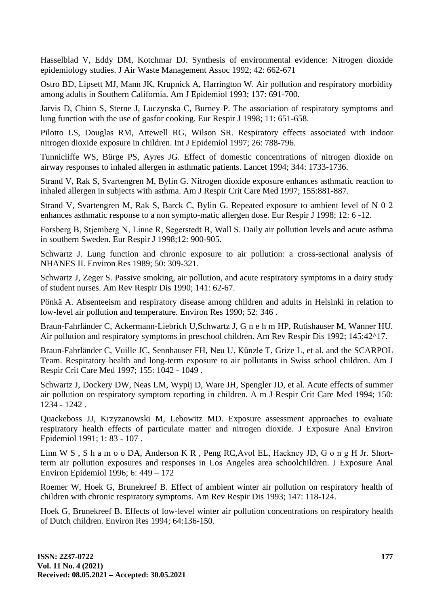Hasselblad V, Eddy DM, Kotchmar DJ. Synthesis of environmental evidence: Nitrogen dioxide epidemiology studies. J Air Waste Management Assoc 1992; 42: 662-671

Ostro BD, Lipsett MJ, Mann JK, Krupnick A, Harrington W. Air pollution and respiratory morbidity among adults in Southern California. Am J Epidemiol 1993; 137: 691-700.

Jarvis D, Chinn S, Sterne J, Luczynska C, Burney P. The association of respiratory symptoms and lung function with the use of gasfor cooking. Eur Respir J 1998; 11: 651-658.

Pilotto LS, Douglas RM, Attewell RG, Wilson SR. Respiratory effects associated with indoor nitrogen dioxide exposure in children. Int J Epidemiol 1997; 26: 788-796.

Tunnicliffe WS, Bürge PS, Ayres JG. Effect of domestic concentrations of nitrogen dioxide on airway responses to inhaled allergen in asthmatic patients. Lancet 1994; 344: 1733-1736.

Strand V, Rak S, Svartengren M, Bylin G. Nitrogen dioxide exposure enhances asthmatic reaction to inhaled allergen in subjects with asthma. Am J Respir Crit Care Med 1997; 155:881-887.

Strand V, Svartengren M, Rak S, Barck C, Bylin G. Repeated exposure to ambient level of N 0 2 enhances asthmatic response to a non sympto-matic allergen dose. Eur Respir J 1998; 12: 6 -12.

Forsberg Β, Stjemberg Ν, Linne R, Segerstedt Β, Wall S. Daily air pollution levels and acute asthma in southern Sweden. Eur Respir J 1998;12: 900-905.

Schwartz J. Lung function and chronic exposure to air pollution: a cross-sectional analysis of NHANES II. Environ Res 1989; 50: 309-321.

Schwartz J, Zeger S. Passive smoking, air pollution, and acute respiratory symptoms in a dairy study of student nurses. Am Rev Respir Dis 1990; 141: 62-67.

Pönkä A. Absenteeism and respiratory disease among children and adults in Helsinki in relation to low-level air pollution and temperature. Environ Res 1990; 52: 346 .

Braun-Fahrländer C, Ackermann-Liebrich U,Schwartz J, G n e h m HP, Rutishauser M, Wanner HU. Air pollution and respiratory symptoms in preschool children. Am Rev Respir Dis 1992; 145:42^17.

Braun-Fahrländer C, Vuille JC, Sennhauser FH, Neu U, Künzle Τ, Grize L, et al. and the SCARPOL Team. Respiratory health and long-term exposure to air pollutants in Swiss school children. Am J Respir Crit Care Med 1997; 155: 1042 - 1049 .

Schwartz J, Dockery DW, Neas LM, Wypij D, Ware JH, Spengler JD, et al. Acute effects of summer air pollution on respiratory symptom reporting in children. A m J Respir Crit Care Med 1994; 150: 1234 - 1242 .

Quackeboss JJ, Krzyzanowski M, Lebowitz MD. Exposure assessment approaches to evaluate respiratory health effects of particulate matter and nitrogen dioxide. J Exposure Anal Environ Epidemiol 1991; 1: 83 - 107 .

Linn W S , S h a m o o DA, Anderson K R , Peng RC,Avol EL, Hackney JD, G o n g Η Jr. Shortterm air pollution exposures and responses in Los Angeles area schoolchildren. J Exposure Anal Environ Epidemiol 1996; 6: 449 – 172

Roemer W, Hoek G, Brunekreef B. Effect of ambient winter air pollution on respiratory health of children with chronic respiratory symptoms. Am Rev Respir Dis 1993; 147: 118-124.

Hoek G, Brunekreef B. Effects of low-level winter air pollution concentrations on respiratory health of Dutch children. Environ Res 1994; 64:136-150.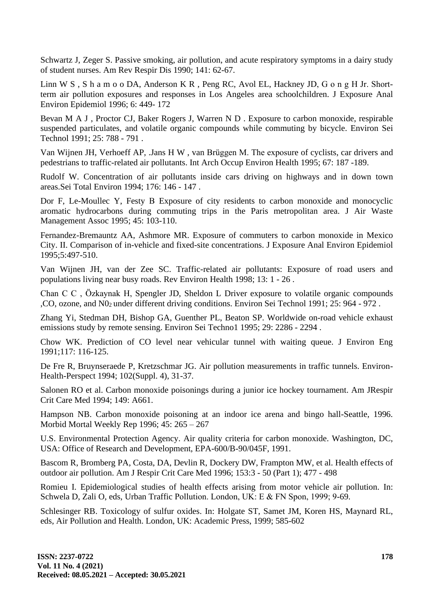Schwartz J, Zeger S. Passive smoking, air pollution, and acute respiratory symptoms in a dairy study of student nurses. Am Rev Respir Dis 1990; 141: 62-67.

Linn W S , S h a m o o DA, Anderson K R , Peng RC, Avol EL, Hackney JD, G o n g Η Jr. Shortterm air pollution exposures and responses in Los Angeles area schoolchildren. J Exposure Anal Environ Epidemiol 1996; 6: 449- 172

Bevan M A J , Proctor CJ, Baker Rogers J, Warren N D . Exposure to carbon monoxide, respirable suspended particulates, and volatile organic compounds while commuting by bicycle. Environ Sei Technol 1991; 25: 788 - 791 .

Van Wijnen JH, Verhoeff AP, .Jans H W , van Brüggen Μ. The exposure of cyclists, car drivers and pedestrians to traffic-related air pollutants. Int Arch Occup Environ Health 1995; 67: 187 -189.

Rudolf W. Concentration of air pollutants inside cars driving on highways and in down town areas.Sei Total Environ 1994; 176: 146 - 147 .

Dor F, Le-Moullec Y, Festy Β Exposure of city residents to carbon monoxide and monocyclic aromatic hydrocarbons during commuting trips in the Paris metropolitan area. J Air Waste Management Assoc 1995; 45: 103-110.

Fernandez-Bremauntz AA, Ashmore MR. Exposure of commuters to carbon monoxide in Mexico City. II. Comparison of in-vehicle and fixed-site concentrations. J Exposure Anal Environ Epidemiol 1995;5:497-510.

Van Wijnen JH, van der Zee SC. Traffic-related air pollutants: Exposure of road users and populations living near busy roads. Rev Environ Health 1998; 13: 1 - 26 .

Chan C C , Özkaynak Η, Spengler JD, Sheldon L Driver exposure to volatile organic compounds ,CO, ozone, and N02 under different driving conditions. Environ Sei Technol 1991; 25: 964 - 972 .

Zhang Yi, Stedman DH, Bishop GA, Guenther PL, Beaton SP. Worldwide on-road vehicle exhaust emissions study by remote sensing. Environ Sei Techno1 1995; 29: 2286 - 2294 .

Chow WK. Prediction of CO level near vehicular tunnel with waiting queue. J Environ Eng 1991;117: 116-125.

De Fre R, Bruynseraede P, Kretzschmar JG. Air pollution measurements in traffic tunnels. Environ-Health-Perspect 1994; 102(Suppl. 4), 31-37.

Salonen RO et al. Carbon monoxide poisonings during a junior ice hockey tournament. Am JRespir Crit Care Med 1994; 149: A661.

Hampson NB. Carbon monoxide poisoning at an indoor ice arena and bingo hall-Seattle, 1996. Morbid Mortal Weekly Rep 1996; 45: 265 – 267

U.S. Environmental Protection Agency. Air quality criteria for carbon monoxide. Washington, DC, USA: Office of Research and Development, EPA-600/B-90/045F, 1991.

Bascom R, Bromberg PA, Costa, DA, Devlin R, Dockery DW, Frampton MW, et al. Health effects of outdoor air pollution. Am J Respir Crit Care Med 1996; 153:3 - 50 (Part 1); 477 - 498

Romieu I. Epidemiological studies of health effects arising from motor vehicle air pollution. In: Schwela D, Zali O, eds, Urban Traffic Pollution. London, UK: Ε & FN Spon, 1999; 9-69.

Schlesinger RB. Toxicology of sulfur oxides. In: Holgate ST, Samet JM, Koren HS, Maynard RL, eds, Air Pollution and Health. London, UK: Academic Press, 1999; 585-602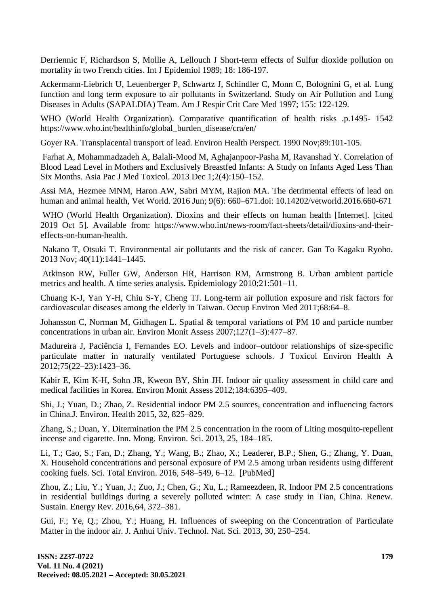Derriennic F, Richardson S, Mollie A, Lellouch J Short-term effects of Sulfur dioxide pollution on mortality in two French cities. Int J Epidemiol 1989; 18: 186-197.

Ackermann-Liebrich U, Leuenberger P, Schwartz J, Schindler C, Monn C, Bolognini G, et al. Lung function and long term exposure to air pollutants in Switzerland. Study on Air Pollution and Lung Diseases in Adults (SAPALDIA) Team. Am J Respir Crit Care Med 1997; 155: 122-129.

WHO (World Health Organization). Comparative quantification of health risks .p.1495- 1542 https://www.who.int/healthinfo/global\_burden\_disease/cra/en/

Goyer RA. Transplacental transport of lead. Environ Health Perspect. 1990 Nov;89:101-105.

Farhat A, Mohammadzadeh A, Balali-Mood M, Aghajanpoor-Pasha M, Ravanshad Y. Correlation of Blood Lead Level in Mothers and Exclusively Breastfed Infants: A Study on Infants Aged Less Than Six Months. Asia Pac J Med Toxicol. 2013 Dec 1;2(4):150–152.

Assi MA, Hezmee MNM, Haron AW, Sabri MYM, Rajion MA. The detrimental effects of lead on human and animal health, Vet World. 2016 Jun; 9(6): 660–671.doi: 10.14202/vetworld.2016.660-671

WHO (World Health Organization). Dioxins and their effects on human health [Internet]. [cited 2019 Oct 5]. Available from: https://www.who.int/news-room/fact-sheets/detail/dioxins-and-theireffects-on-human-health.

Nakano T, Otsuki T. Environmental air pollutants and the risk of cancer. Gan To Kagaku Ryoho. 2013 Nov; 40(11):1441–1445.

Atkinson RW, Fuller GW, Anderson HR, Harrison RM, Armstrong B. Urban ambient particle metrics and health. A time series analysis. Epidemiology 2010;21:501–11.

Chuang K-J, Yan Y-H, Chiu S-Y, Cheng TJ. Long-term air pollution exposure and risk factors for cardiovascular diseases among the elderly in Taiwan. Occup Environ Med 2011;68:64–8.

Johansson C, Norman M, Gidhagen L. Spatial & temporal variations of PM 10 and particle number concentrations in urban air. Environ Monit Assess 2007;127(1–3):477–87.

Madureira J, Paciência I, Fernandes EO. Levels and indoor–outdoor relationships of size-specific particulate matter in naturally ventilated Portuguese schools. J Toxicol Environ Health A 2012;75(22–23):1423–36.

Kabir E, Kim K-H, Sohn JR, Kweon BY, Shin JH. Indoor air quality assessment in child care and medical facilities in Korea. Environ Monit Assess 2012;184:6395–409.

Shi, J.; Yuan, D.; Zhao, Z. Residential indoor PM 2.5 sources, concentration and influencing factors in China.J. Environ. Health 2015, 32, 825–829.

Zhang, S.; Duan, Y. Ditermination the PM 2.5 concentration in the room of Liting mosquito-repellent incense and cigarette. Inn. Mong. Environ. Sci. 2013, 25, 184–185.

Li, T.; Cao, S.; Fan, D.; Zhang, Y.; Wang, B.; Zhao, X.; Leaderer, B.P.; Shen, G.; Zhang, Y. Duan, X. Household concentrations and personal exposure of PM 2.5 among urban residents using different cooking fuels. Sci. Total Environ. 2016, 548–549, 6–12. [PubMed]

Zhou, Z.; Liu, Y.; Yuan, J.; Zuo, J.; Chen, G.; Xu, L.; Rameezdeen, R. Indoor PM 2.5 concentrations in residential buildings during a severely polluted winter: A case study in Tian, China. Renew. Sustain. Energy Rev. 2016,64, 372–381.

Gui, F.; Ye, Q.; Zhou, Y.; Huang, H. Influences of sweeping on the Concentration of Particulate Matter in the indoor air. J. Anhui Univ. Technol. Nat. Sci. 2013, 30, 250–254.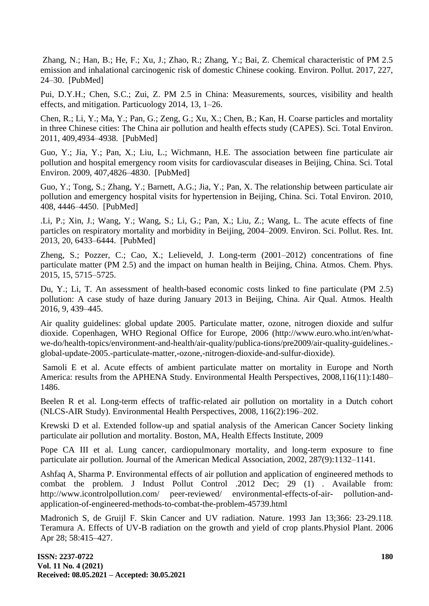Zhang, N.; Han, B.; He, F.; Xu, J.; Zhao, R.; Zhang, Y.; Bai, Z. Chemical characteristic of PM 2.5 emission and inhalational carcinogenic risk of domestic Chinese cooking. Environ. Pollut. 2017, 227, 24–30. [PubMed]

Pui, D.Y.H.; Chen, S.C.; Zui, Z. PM 2.5 in China: Measurements, sources, visibility and health effects, and mitigation. Particuology 2014, 13, 1–26.

Chen, R.; Li, Y.; Ma, Y.; Pan, G.; Zeng, G.; Xu, X.; Chen, B.; Kan, H. Coarse particles and mortality in three Chinese cities: The China air pollution and health effects study (CAPES). Sci. Total Environ. 2011, 409,4934–4938. [PubMed]

Guo, Y.; Jia, Y.; Pan, X.; Liu, L.; Wichmann, H.E. The association between fine particulate air pollution and hospital emergency room visits for cardiovascular diseases in Beijing, China. Sci. Total Environ. 2009, 407,4826–4830. [PubMed]

Guo, Y.; Tong, S.; Zhang, Y.; Barnett, A.G.; Jia, Y.; Pan, X. The relationship between particulate air pollution and emergency hospital visits for hypertension in Beijing, China. Sci. Total Environ. 2010, 408, 4446–4450. [PubMed]

.Li, P.; Xin, J.; Wang, Y.; Wang, S.; Li, G.; Pan, X.; Liu, Z.; Wang, L. The acute effects of fine particles on respiratory mortality and morbidity in Beijing, 2004–2009. Environ. Sci. Pollut. Res. Int. 2013, 20, 6433–6444. [PubMed]

Zheng, S.; Pozzer, C.; Cao, X.; Lelieveld, J. Long-term (2001–2012) concentrations of fine particulate matter (PM 2.5) and the impact on human health in Beijing, China. Atmos. Chem. Phys. 2015, 15, 5715–5725.

Du, Y.; Li, T. An assessment of health-based economic costs linked to fine particulate (PM 2.5) pollution: A case study of haze during January 2013 in Beijing, China. Air Qual. Atmos. Health 2016, 9, 439–445.

Air quality guidelines: global update 2005. Particulate matter, ozone, nitrogen dioxide and sulfur dioxide. Copenhagen, WHO Regional Office for Europe, 2006 (http://www.euro.who.int/en/whatwe-do/health-topics/environment-and-health/air-quality/publica-tions/pre2009/air-quality-guidelines. global-update-2005.-particulate-matter,-ozone,-nitrogen-dioxide-and-sulfur-dioxide).

Samoli E et al. Acute effects of ambient particulate matter on mortality in Europe and North America: results from the APHENA Study. Environmental Health Perspectives, 2008,116(11):1480– 1486.

Beelen R et al. Long-term effects of traffic-related air pollution on mortality in a Dutch cohort (NLCS-AIR Study). Environmental Health Perspectives, 2008, 116(2):196–202.

Krewski D et al. Extended follow-up and spatial analysis of the American Cancer Society linking particulate air pollution and mortality. Boston, MA, Health Effects Institute, 2009

Pope CA III et al. Lung cancer, cardiopulmonary mortality, and long-term exposure to fine particulate air pollution. Journal of the American Medical Association, 2002, 287(9):1132–1141.

Ashfaq A, Sharma P. Environmental effects of air pollution and application of engineered methods to combat the problem. J Indust Pollut Control .2012 Dec; 29 (1) . Available from: http://www.icontrolpollution.com/ peer-reviewed/ environmental-effects-of-air- pollution-andapplication-of-engineered-methods-to-combat-the-problem-45739.html

Madronich S, de Gruijl F. Skin Cancer and UV radiation. Nature. 1993 Jan 13;366: 23-29.118. Teramura A. Effects of UV-B radiation on the growth and yield of crop plants.Physiol Plant. 2006 Apr 28; 58:415–427.